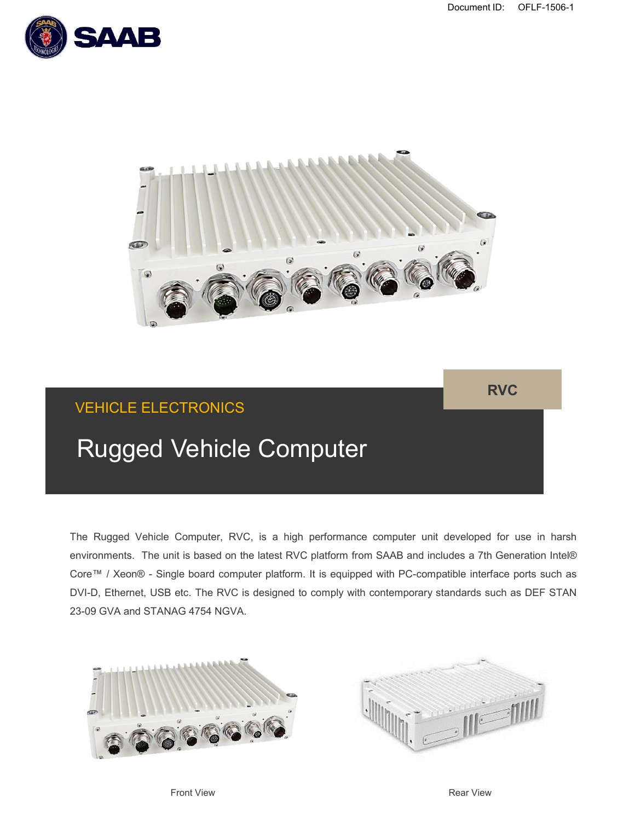



# VEHICLE ELECTRONICS

**RVC**

# Rugged Vehicle Computer

The Rugged Vehicle Computer, RVC, is a high performance computer unit developed for use in harsh environments. The unit is based on the latest RVC platform from SAAB and includes a 7th Generation Intel® Core™ / Xeon® - Single board computer platform. It is equipped with PC-compatible interface ports such as DVI-D, Ethernet, USB etc. The RVC is designed to comply with contemporary standards such as DEF STAN 23-09 GVA and STANAG 4754 NGVA.





Front View **Rear View** Rear View